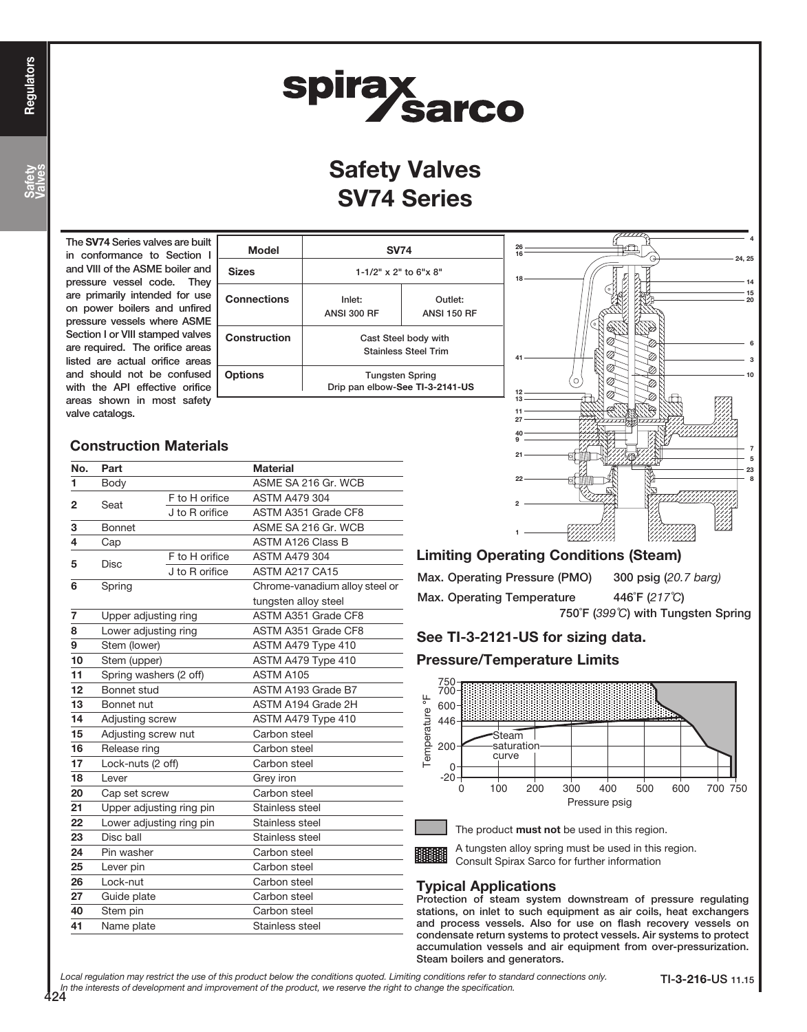Safety Valves

# spirax<br>Sarco

## Safety Valves SV74 Series

The SV74 Series valves are built in conformance to Section and VIII of the ASME boiler and pressure vessel code. They are primarily intended for use on power boilers and unfired pressure vessels where ASME Section I or VIII stamped valves are required. The orifice areas listed are actual orifice areas and should not be confused with the API effective orifice areas shown in most safety valve catalogs.

| <b>SV74</b><br>$1-1/2"$ x 2" to 6"x 8"                    |  |  |  |
|-----------------------------------------------------------|--|--|--|
|                                                           |  |  |  |
| Cast Steel body with<br><b>Stainless Steel Trim</b>       |  |  |  |
| <b>Tungsten Spring</b><br>Drip pan elbow-See TI-3-2141-US |  |  |  |
|                                                           |  |  |  |

#### 4 18 ————————————————————14 15 20 6 3 40 9 21 22 11 7 23 8 2 5 27 1 10  $-24, 25$

## Construction Materials

| No. | Part                     |                     | <b>Material</b>                |  |  |  |
|-----|--------------------------|---------------------|--------------------------------|--|--|--|
| 1   | Body                     | ASME SA 216 Gr. WCB |                                |  |  |  |
| 2   | Seat                     | F to H orifice      | <b>ASTM A479 304</b>           |  |  |  |
|     |                          | J to R orifice      | ASTM A351 Grade CF8            |  |  |  |
| 3   | Bonnet                   |                     | ASME SA 216 Gr. WCB            |  |  |  |
| 4   | Cap                      |                     | <b>ASTM A126 Class B</b>       |  |  |  |
| 5   | <b>Disc</b>              | F to H orifice      | <b>ASTM A479 304</b>           |  |  |  |
|     |                          | J to R orifice      | ASTM A217 CA15                 |  |  |  |
| 6   | Spring                   |                     | Chrome-vanadium alloy steel or |  |  |  |
|     |                          |                     | tungsten alloy steel           |  |  |  |
| 7   | Upper adjusting ring     |                     | ASTM A351 Grade CF8            |  |  |  |
| 8   | Lower adjusting ring     |                     | ASTM A351 Grade CF8            |  |  |  |
| 9   | Stem (lower)             |                     | ASTM A479 Type 410             |  |  |  |
| 10  | Stem (upper)             |                     | ASTM A479 Type 410             |  |  |  |
| 11  | Spring washers (2 off)   |                     | ASTM A105                      |  |  |  |
| 12  | Bonnet stud              |                     | ASTM A193 Grade B7             |  |  |  |
| 13  | Bonnet nut               |                     | ASTM A194 Grade 2H             |  |  |  |
| 14  | Adjusting screw          |                     | ASTM A479 Type 410             |  |  |  |
| 15  | Adjusting screw nut      |                     | Carbon steel                   |  |  |  |
| 16  | Release ring             |                     | Carbon steel                   |  |  |  |
| 17  | Lock-nuts (2 off)        |                     | Carbon steel                   |  |  |  |
| 18  | Lever                    |                     | Grey iron                      |  |  |  |
| 20  | Cap set screw            |                     | Carbon steel                   |  |  |  |
| 21  | Upper adjusting ring pin |                     | Stainless steel                |  |  |  |
| 22  | Lower adjusting ring pin |                     | Stainless steel                |  |  |  |
| 23  | Disc ball                |                     | Stainless steel                |  |  |  |
| 24  | Pin washer               |                     | Carbon steel                   |  |  |  |
| 25  | Lever pin                |                     | Carbon steel                   |  |  |  |
| 26  | Lock-nut                 |                     | Carbon steel                   |  |  |  |
| 27  | Guide plate              |                     | Carbon steel                   |  |  |  |
| 40  | Stem pin                 |                     | Carbon steel                   |  |  |  |
| 41  | Name plate               |                     | Stainless steel                |  |  |  |
|     |                          |                     |                                |  |  |  |

## Limiting Operating Conditions (Steam)

| Max. Operating Pressure (PMO) | 300 psig (20.7 barg)               |
|-------------------------------|------------------------------------|
| Max. Operating Temperature    | 446°F (217°C)                      |
|                               | 750°F (399°C) with Tungsten Spring |

## See TI-3-2121-US for sizing data.

## Pressure/Temperature Limits



The product **must not** be used in this region.

## A tungsten alloy spring must be used in this region.

Consult Spirax Sarco for further information

## Typical Applications

Protection of steam system downstream of pressure regulating stations, on inlet to such equipment as air coils, heat exchangers and process vessels. Also for use on flash recovery vessels on condensate return systems to protect vessels. Air systems to protect accumulation vessels and air equipment from over-pressurization. Steam boilers and generators.

Local regulation may restrict the use of this product below the conditions quoted. Limiting conditions refer to standard connections only. In the interests of development and improvement of the product, we reserve the right to change the specification.